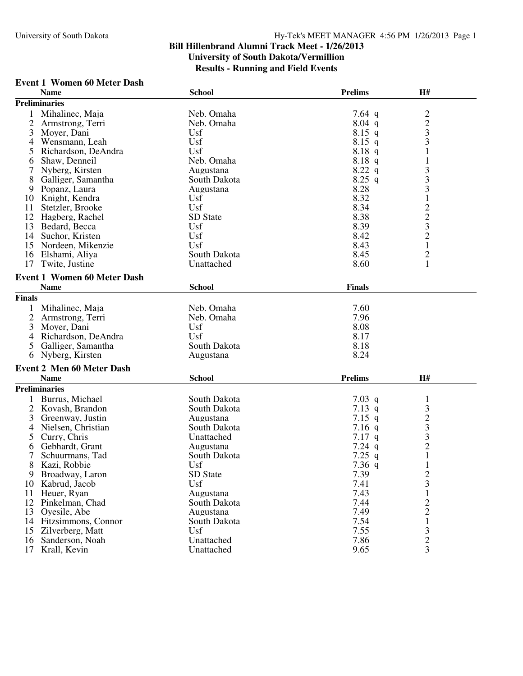#### **Event 1 Women 60 Meter Dash**

|                | <b>Name</b>                        | <b>School</b>   | <b>Prelims</b> | H#                                              |
|----------------|------------------------------------|-----------------|----------------|-------------------------------------------------|
|                | <b>Preliminaries</b>               |                 |                |                                                 |
|                | Mihalinec, Maja                    | Neb. Omaha      | 7.64 $q$       |                                                 |
| 2              | Armstrong, Terri                   | Neb. Omaha      | $8.04$ q       | $\begin{array}{c} 2 \\ 2 \\ 3 \\ 3 \end{array}$ |
| 3              | Moyer, Dani                        | Usf             | $8.15$ q       |                                                 |
| 4              | Wensmann, Leah                     | Usf             | $8.15$ q       |                                                 |
| 5              | Richardson, DeAndra                | Usf             | 8.18 q         | $\mathbf{1}$                                    |
| 6              | Shaw, Denneil                      | Neb. Omaha      | 8.18 q         | $\mathbf{1}$                                    |
|                | Nyberg, Kirsten                    | Augustana       | 8.22 q         |                                                 |
|                |                                    | South Dakota    | $8.25$ q       |                                                 |
| 8              | Galliger, Samantha                 |                 |                | $\frac{3}{3}$                                   |
| 9              | Popanz, Laura                      | Augustana       | 8.28           |                                                 |
| 10             | Knight, Kendra                     | Usf             | 8.32           | $\mathbf{1}$                                    |
| 11             | Stetzler, Brooke                   | Usf             | 8.34           | $\frac{2}{3}$                                   |
| 12             | Hagberg, Rachel                    | SD State        | 8.38           |                                                 |
|                | 13 Bedard, Becca                   | Usf             | 8.39           |                                                 |
|                | 14 Suchor, Kristen                 | Usf             | 8.42           | $\overline{c}$                                  |
| 15             | Nordeen, Mikenzie                  | Usf             | 8.43           | $\mathbf{1}$                                    |
| 16             | Elshami, Aliya                     | South Dakota    | 8.45           | 2                                               |
| 17             | Twite, Justine                     | Unattached      | 8.60           | $\mathbf{1}$                                    |
|                | <b>Event 1 Women 60 Meter Dash</b> |                 |                |                                                 |
|                |                                    |                 |                |                                                 |
|                | <b>Name</b>                        | <b>School</b>   | <b>Finals</b>  |                                                 |
| <b>Finals</b>  |                                    |                 |                |                                                 |
| 1              | Mihalinec, Maja                    | Neb. Omaha      | 7.60           |                                                 |
| $\overline{2}$ | Armstrong, Terri                   | Neb. Omaha      | 7.96           |                                                 |
| 3              | Moyer, Dani                        | Usf             | 8.08           |                                                 |
| 4              | Richardson, DeAndra                | Usf             | 8.17           |                                                 |
| 5              | Galliger, Samantha                 | South Dakota    | 8.18           |                                                 |
| 6              | Nyberg, Kirsten                    | Augustana       | 8.24           |                                                 |
|                |                                    |                 |                |                                                 |
|                | <b>Event 2 Men 60 Meter Dash</b>   |                 |                |                                                 |
|                | <b>Name</b>                        | <b>School</b>   | <b>Prelims</b> | H#                                              |
|                | <b>Preliminaries</b>               |                 |                |                                                 |
| 1              | Burrus, Michael                    | South Dakota    | 7.03 q         | 1                                               |
| 2              | Kovash, Brandon                    | South Dakota    | 7.13 q         | 3                                               |
| 3              | Greenway, Justin                   | Augustana       | $7.15$ q       |                                                 |
| 4              | Nielsen, Christian                 | South Dakota    | $7.16$ q       | $\frac{2}{3}$                                   |
| 5              | Curry, Chris                       | Unattached      | $7.17$ q       |                                                 |
| 6              | Gebhardt, Grant                    | Augustana       | $7.24$ q       |                                                 |
| 7              | Schuurmans, Tad                    | South Dakota    | $7.25$ q       | $\frac{2}{1}$                                   |
| 8              | Kazi, Robbie                       | Usf             | $7.36$ q       | $\mathbf{1}$                                    |
| 9              | Broadway, Laron                    | <b>SD</b> State | 7.39           |                                                 |
| 10             | Kabrud, Jacob                      | Usf             | 7.41           | $\frac{2}{3}$                                   |
| 11             | Heuer, Ryan                        | Augustana       | 7.43           | $\mathbf 1$                                     |
| 12             | Pinkelman, Chad                    | South Dakota    | 7.44           |                                                 |
| 13             | Oyesile, Abe                       | Augustana       | 7.49           | $\frac{2}{2}$                                   |
|                |                                    |                 |                |                                                 |
|                | 14 Fitzsimmons, Connor             | South Dakota    | 7.54           | 1                                               |
| 15             | Zilverberg, Matt                   | Usf             | 7.55           | 3                                               |
| 16             | Sanderson, Noah                    | Unattached      | 7.86           | $\overline{c}$                                  |
| 17             | Krall, Kevin                       | Unattached      | 9.65           | 3                                               |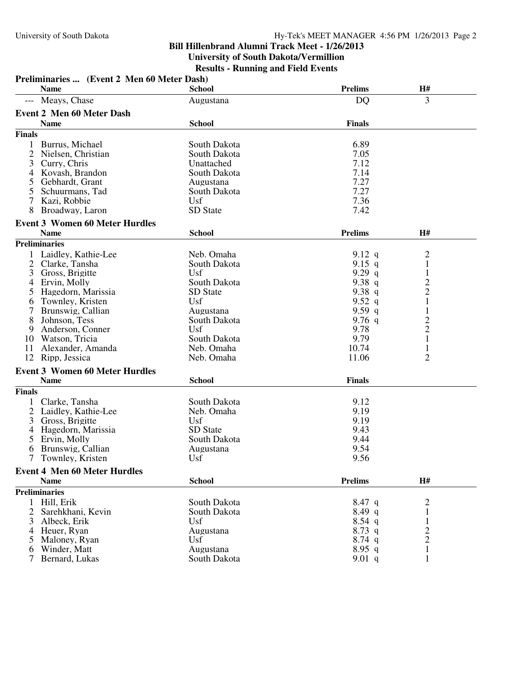|                | Preliminaries  (Event 2 Men 60 Meter Dash) |               |                |                         |  |
|----------------|--------------------------------------------|---------------|----------------|-------------------------|--|
|                | <b>Name</b>                                | <b>School</b> | <b>Prelims</b> | H#                      |  |
|                | Meays, Chase                               | Augustana     | DQ             | 3                       |  |
|                | <b>Event 2 Men 60 Meter Dash</b>           |               |                |                         |  |
|                | <b>Name</b>                                | <b>School</b> | <b>Finals</b>  |                         |  |
| <b>Finals</b>  |                                            |               |                |                         |  |
| 1              | Burrus, Michael                            | South Dakota  | 6.89           |                         |  |
| 2              | Nielsen, Christian                         | South Dakota  | 7.05           |                         |  |
| 3              | Curry, Chris                               | Unattached    | 7.12           |                         |  |
| 4              | Kovash, Brandon                            | South Dakota  | 7.14           |                         |  |
|                | Gebhardt, Grant                            | Augustana     | 7.27           |                         |  |
| 5              | Schuurmans, Tad                            | South Dakota  | 7.27           |                         |  |
|                | Kazi, Robbie                               | Usf           | 7.36           |                         |  |
| 8              | Broadway, Laron                            | SD State      | 7.42           |                         |  |
|                | <b>Event 3 Women 60 Meter Hurdles</b>      |               |                |                         |  |
|                | <b>Name</b>                                | <b>School</b> | <b>Prelims</b> | H#                      |  |
|                | <b>Preliminaries</b>                       |               |                |                         |  |
| 1              | Laidley, Kathie-Lee                        | Neb. Omaha    | 9.12 q         | 2                       |  |
| 2              | Clarke, Tansha                             | South Dakota  | 9.15 q         | $\mathbf{1}$            |  |
| 3              | Gross, Brigitte                            | Usf           | $9.29$ q       | $\mathbf{1}$            |  |
| 4              | Ervin, Molly                               | South Dakota  | 9.38 $q$       | $\overline{\mathbf{c}}$ |  |
|                | Hagedorn, Marissia                         | SD State      | 9.38 $q$       |                         |  |
| 6              | Townley, Kristen                           | Usf           | 9.52 $q$       | $\frac{2}{1}$           |  |
|                | Brunswig, Callian                          | Augustana     | 9.59 q         | $\mathbf{1}$            |  |
| 8              | Johnson, Tess                              | South Dakota  | 9.76 $q$       |                         |  |
| 9              | Anderson, Conner                           | Usf           | 9.78           | $\frac{2}{2}$           |  |
|                | 10 Watson, Tricia                          | South Dakota  | 9.79           | $\mathbf 1$             |  |
| 11             | Alexander, Amanda                          | Neb. Omaha    | 10.74          | $\mathbf{1}$            |  |
| 12             | Ripp, Jessica                              | Neb. Omaha    | 11.06          | $\overline{2}$          |  |
|                | <b>Event 3 Women 60 Meter Hurdles</b>      |               |                |                         |  |
|                | <b>Name</b>                                | <b>School</b> | <b>Finals</b>  |                         |  |
| <b>Finals</b>  |                                            |               |                |                         |  |
|                | Clarke, Tansha                             | South Dakota  | 9.12           |                         |  |
| 2              | Laidley, Kathie-Lee                        | Neb. Omaha    | 9.19           |                         |  |
| 3              | Gross, Brigitte                            | Usf           | 9.19           |                         |  |
| 4              | Hagedorn, Marissia                         | SD State      | 9.43           |                         |  |
| 5              | Ervin, Molly                               | South Dakota  | 9.44           |                         |  |
| 6              | Brunswig, Callian                          | Augustana     | 9.54           |                         |  |
|                | Townley, Kristen                           | Usf           | 9.56           |                         |  |
|                | <b>Event 4 Men 60 Meter Hurdles</b>        |               |                |                         |  |
|                | <b>Name</b>                                | <b>School</b> | <b>Prelims</b> | H#                      |  |
|                | <b>Preliminaries</b>                       |               |                |                         |  |
| 1              | Hill, Erik                                 | South Dakota  | $8.47$ q       | 2                       |  |
| $\overline{2}$ | Sarehkhani, Kevin                          | South Dakota  | $8.49$ q       | 1                       |  |
| 3              | Albeck, Erik                               | Usf           | $8.54$ q       |                         |  |
| 4              | Heuer, Ryan                                | Augustana     | $8.73$ q       | $\overline{c}$          |  |
| 5              | Maloney, Ryan                              | Usf           | $8.74$ q       | $\overline{2}$          |  |
| 6              | Winder, Matt                               | Augustana     | $8.95$ q       | $\mathbf{1}$            |  |
| 7              | Bernard, Lukas                             | South Dakota  | 9.01 q         | $\mathbf{1}$            |  |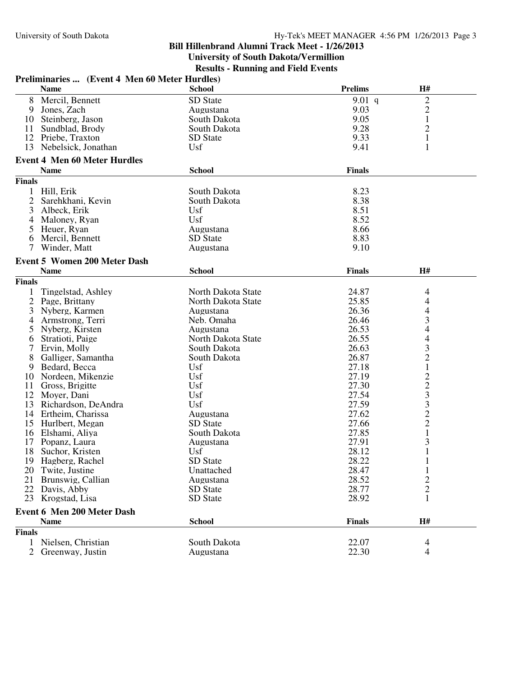#### **Bill Hillenbrand Alumni Track Meet - 1/26/2013 University of South Dakota/Vermillion**

**Results - Running and Field Events**

|                | Preliminaries  (Event 4 Men 60 Meter Hurdles) |                    |                |                |  |
|----------------|-----------------------------------------------|--------------------|----------------|----------------|--|
|                | <b>Name</b>                                   | <b>School</b>      | <b>Prelims</b> | H#             |  |
| 8              | Mercil, Bennett                               | SD State           | 9.01 q         | $\overline{c}$ |  |
| 9              | Jones, Zach                                   | Augustana          | 9.03           | $\overline{c}$ |  |
|                | 10 Steinberg, Jason                           | South Dakota       | 9.05           | $\mathbf{1}$   |  |
|                | 11 Sundblad, Brody                            | South Dakota       | 9.28           | $\overline{c}$ |  |
|                | 12 Priebe, Traxton                            | SD State           | 9.33           | $\mathbf{1}$   |  |
| 13             | Nebelsick, Jonathan                           | Usf                | 9.41           | 1              |  |
|                | <b>Event 4 Men 60 Meter Hurdles</b>           |                    |                |                |  |
|                | <b>Name</b>                                   | <b>School</b>      | <b>Finals</b>  |                |  |
| <b>Finals</b>  |                                               |                    |                |                |  |
|                | 1 Hill, Erik                                  | South Dakota       | 8.23           |                |  |
|                | Sarehkhani, Kevin                             | South Dakota       | 8.38           |                |  |
| 3              | Albeck, Erik                                  | Usf                | 8.51           |                |  |
| 4              | Maloney, Ryan                                 | Usf                | 8.52           |                |  |
| 5              | Heuer, Ryan                                   |                    | 8.66           |                |  |
|                |                                               | Augustana          | 8.83           |                |  |
| 6              | Mercil, Bennett                               | SD State           |                |                |  |
| 7              | Winder, Matt                                  | Augustana          | 9.10           |                |  |
|                | <b>Event 5 Women 200 Meter Dash</b>           |                    |                |                |  |
|                | <b>Name</b>                                   | <b>School</b>      | <b>Finals</b>  | H#             |  |
| <b>Finals</b>  |                                               |                    |                |                |  |
| 1              | Tingelstad, Ashley                            | North Dakota State | 24.87          | 4              |  |
| $\overline{2}$ | Page, Brittany                                | North Dakota State | 25.85          | 4              |  |
| 3              | Nyberg, Karmen                                | Augustana          | 26.36          | 4              |  |
| 4              | Armstrong, Terri                              | Neb. Omaha         | 26.46          | 3              |  |
| 5              | Nyberg, Kirsten                               | Augustana          | 26.53          | 4              |  |
| 6              | Stratioti, Paige                              | North Dakota State | 26.55          | 4              |  |
|                | Ervin, Molly                                  | South Dakota       | 26.63          | 3              |  |
| 8              | Galliger, Samantha                            | South Dakota       | 26.87          |                |  |
| 9              | Bedard, Becca                                 | Usf                | 27.18          | $\frac{2}{1}$  |  |
| 10             | Nordeen, Mikenzie                             | Usf                | 27.19          |                |  |
| 11             | Gross, Brigitte                               | Usf                | 27.30          | $\frac{2}{3}$  |  |
|                | 12 Moyer, Dani                                | Usf                | 27.54          |                |  |
|                | 13 Richardson, DeAndra                        | Usf                | 27.59          | 3              |  |
|                | 14 Ertheim, Charissa                          | Augustana          | 27.62          | $\overline{c}$ |  |
|                | 15 Hurlbert, Megan                            | SD State           | 27.66          | $\overline{c}$ |  |
| 16             | Elshami, Aliya                                | South Dakota       | 27.85          | $\mathbf{1}$   |  |
| 17             | Popanz, Laura                                 | Augustana          | 27.91          | 3              |  |
| 18             | Suchor, Kristen                               | Usf                | 28.12          | 1              |  |
|                | 19 Hagberg, Rachel                            | SD State           | 28.22          | $\mathbf{1}$   |  |
| 20             | Twite, Justine                                | Unattached         | 28.47          | 1              |  |
| 21             | Brunswig, Callian                             | Augustana          | 28.52          | $\overline{c}$ |  |
| 22             | Davis, Abby                                   | SD State           | 28.77          | $\overline{c}$ |  |
| 23             | Krogstad, Lisa                                | SD State           | 28.92          | 1              |  |
|                |                                               |                    |                |                |  |
|                | <b>Event 6 Men 200 Meter Dash</b>             |                    |                |                |  |
|                | <b>Name</b>                                   | <b>School</b>      | <b>Finals</b>  | H#             |  |
| <b>Finals</b>  |                                               |                    |                |                |  |
| $\mathbf{1}$   | Nielsen, Christian                            | South Dakota       | 22.07          | 4              |  |
| $\overline{2}$ | Greenway, Justin                              | Augustana          | 22.30          | $\overline{4}$ |  |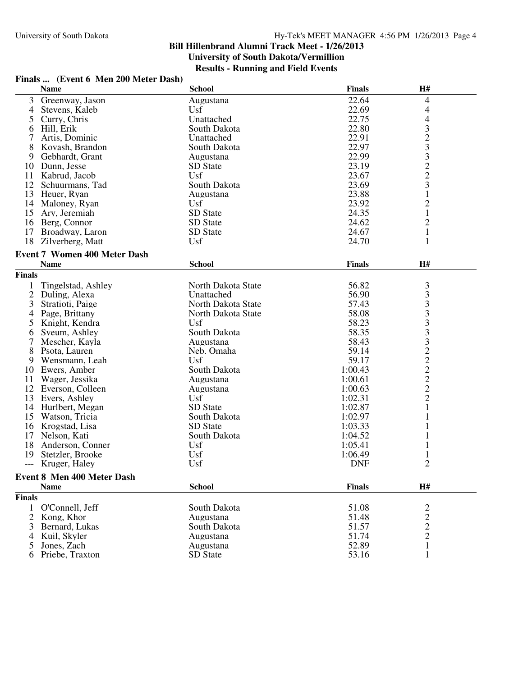| Finals  (Event 6 Men 200 Meter Dash) |                                     |                    |               |                |  |
|--------------------------------------|-------------------------------------|--------------------|---------------|----------------|--|
|                                      | <b>Name</b>                         | <b>School</b>      | <b>Finals</b> | H#             |  |
| 3                                    | Greenway, Jason                     | Augustana          | 22.64         | 4              |  |
| 4                                    | Stevens, Kaleb                      | Usf                | 22.69         | 4              |  |
| 5                                    | Curry, Chris                        | Unattached         | 22.75         | 4              |  |
| 6                                    | Hill, Erik                          | South Dakota       | 22.80         |                |  |
| 7                                    | Artis, Dominic                      | Unattached         | 22.91         | $\frac{3}{2}$  |  |
| 8                                    | Kovash, Brandon                     | South Dakota       | 22.97         | 3              |  |
| 9                                    | Gebhardt, Grant                     | Augustana          | 22.99         |                |  |
| 10                                   | Dunn, Jesse                         | SD State           | 23.19         |                |  |
| 11                                   | Kabrud, Jacob                       | Usf                | 23.67         | $\frac{3}{2}$  |  |
| 12                                   | Schuurmans, Tad                     | South Dakota       | 23.69         | 3              |  |
| 13                                   | Heuer, Ryan                         | Augustana          | 23.88         | $\mathbf{1}$   |  |
| 14                                   | Maloney, Ryan                       | Usf                | 23.92         | $\overline{c}$ |  |
| 15                                   | Ary, Jeremiah                       | SD State           | 24.35         | $\mathbf{1}$   |  |
|                                      | 16 Berg, Connor                     | SD State           | 24.62         | $\overline{c}$ |  |
| 17                                   | Broadway, Laron                     | SD State           | 24.67         | $\mathbf{1}$   |  |
| 18                                   | Zilverberg, Matt                    | Usf                | 24.70         |                |  |
|                                      |                                     |                    |               |                |  |
|                                      | <b>Event 7 Women 400 Meter Dash</b> |                    |               |                |  |
|                                      | <b>Name</b>                         | <b>School</b>      | <b>Finals</b> | H#             |  |
| <b>Finals</b>                        |                                     |                    |               |                |  |
|                                      | Tingelstad, Ashley                  | North Dakota State | 56.82         | 3              |  |
| $\overline{2}$                       | Duling, Alexa                       | Unattached         | 56.90         | 3              |  |
| 3                                    | Stratioti, Paige                    | North Dakota State | 57.43         | 3              |  |
| 4                                    | Page, Brittany                      | North Dakota State | 58.08         | 3              |  |
| 5                                    | Knight, Kendra                      | Usf                | 58.23         | 3              |  |
| 6                                    | Sveum, Ashley                       | South Dakota       | 58.35         | 3              |  |
| 7                                    | Mescher, Kayla                      | Augustana          | 58.43         | 3              |  |
| 8                                    | Psota, Lauren                       | Neb. Omaha         | 59.14         |                |  |
| 9                                    | Wensmann, Leah                      | Usf                | 59.17         | $\frac{2}{2}$  |  |
| 10                                   | Ewers, Amber                        | South Dakota       | 1:00.43       |                |  |
| 11                                   | Wager, Jessika                      | Augustana          | 1:00.61       | $\overline{2}$ |  |
| 12                                   | Everson, Colleen                    | Augustana          | 1:00.63       | $\overline{c}$ |  |
| 13                                   | Evers, Ashley                       | Usf                | 1:02.31       | $\overline{2}$ |  |
|                                      | 14 Hurlbert, Megan                  | SD State           | 1:02.87       | 1              |  |
| 15                                   | Watson, Tricia                      | South Dakota       | 1:02.97       |                |  |
| 16                                   | Krogstad, Lisa                      | SD State           | 1:03.33       |                |  |
| 17                                   | Nelson, Kati                        | South Dakota       | 1:04.52       |                |  |
| 18                                   | Anderson, Conner                    | Usf                | 1:05.41       |                |  |
| 19                                   | Stetzler, Brooke                    | Usf                | 1:06.49       | 1              |  |
|                                      | --- Kruger, Haley                   | Usf                | <b>DNF</b>    | 2              |  |
|                                      |                                     |                    |               |                |  |
|                                      | Event 8 Men 400 Meter Dash          |                    |               |                |  |
|                                      | <b>Name</b>                         | <b>School</b>      | <b>Finals</b> | H#             |  |
| <b>Finals</b>                        |                                     |                    |               |                |  |
| $\mathbf{1}$                         | O'Connell, Jeff                     | South Dakota       | 51.08         | $\overline{c}$ |  |
| 2                                    | Kong, Khor                          | Augustana          | 51.48         | $\frac{2}{2}$  |  |
| 3                                    | Bernard, Lukas                      | South Dakota       | 51.57         |                |  |
| 4                                    | Kuil, Skyler                        | Augustana          | 51.74         | $\overline{c}$ |  |
| 5                                    | Jones, Zach                         | Augustana          | 52.89         | $\mathbf{1}$   |  |
| 6                                    | Priebe, Traxton                     | SD State           | 53.16         |                |  |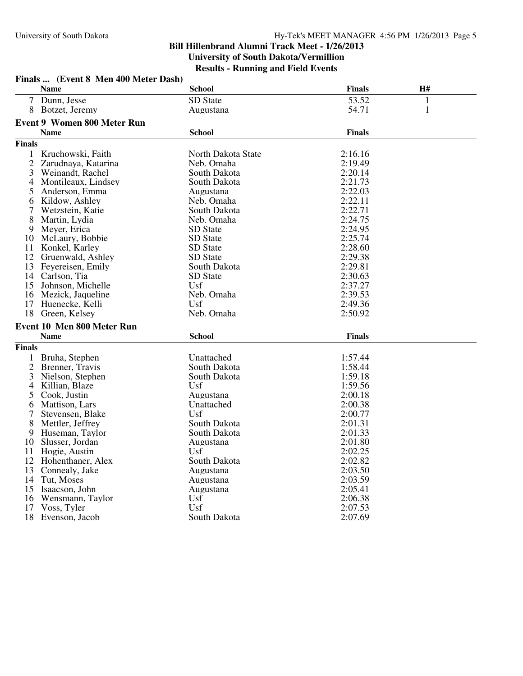| Finals  (Event 8 Men 400 Meter Dash) |                                    |                    |               |              |  |
|--------------------------------------|------------------------------------|--------------------|---------------|--------------|--|
|                                      | <b>Name</b>                        | <b>School</b>      | <b>Finals</b> | H#           |  |
|                                      | 7 Dunn, Jesse                      | SD State           | 53.52         | $\mathbf{1}$ |  |
|                                      | 8 Botzet, Jeremy                   | Augustana          | 54.71         | $\mathbf{1}$ |  |
|                                      | <b>Event 9 Women 800 Meter Run</b> |                    |               |              |  |
|                                      | <b>Name</b>                        | <b>School</b>      | <b>Finals</b> |              |  |
| <b>Finals</b>                        |                                    |                    |               |              |  |
|                                      |                                    |                    |               |              |  |
|                                      | 1 Kruchowski, Faith                | North Dakota State | 2:16.16       |              |  |
| 2                                    | Zarudnaya, Katarina                | Neb. Omaha         | 2:19.49       |              |  |
| 3                                    | Weinandt, Rachel                   | South Dakota       | 2:20.14       |              |  |
| 4                                    | Montileaux, Lindsey                | South Dakota       | 2:21.73       |              |  |
| 5                                    | Anderson, Emma                     | Augustana          | 2:22.03       |              |  |
| 6                                    | Kildow, Ashley                     | Neb. Omaha         | 2:22.11       |              |  |
| 7                                    | Wetzstein, Katie                   | South Dakota       | 2:22.71       |              |  |
| 8                                    | Martin, Lydia                      | Neb. Omaha         | 2:24.75       |              |  |
| 9                                    | Meyer, Erica                       | SD State           | 2:24.95       |              |  |
|                                      | 10 McLaury, Bobbie                 | SD State           | 2:25.74       |              |  |
|                                      | 11 Konkel, Karley                  | SD State           | 2:28.60       |              |  |
|                                      | 12 Gruenwald, Ashley               | SD State           | 2:29.38       |              |  |
|                                      | 13 Feyereisen, Emily               | South Dakota       | 2:29.81       |              |  |
|                                      | 14 Carlson, Tia                    | <b>SD</b> State    | 2:30.63       |              |  |
|                                      | 15 Johnson, Michelle               | Usf                | 2:37.27       |              |  |
|                                      | 16 Mezick, Jaqueline               | Neb. Omaha         | 2:39.53       |              |  |
|                                      | 17 Huenecke, Kelli                 | Usf                | 2:49.36       |              |  |
| 18                                   | Green, Kelsey                      | Neb. Omaha         | 2:50.92       |              |  |
|                                      | Event 10 Men 800 Meter Run         |                    |               |              |  |
|                                      | <b>Name</b>                        | <b>School</b>      | <b>Finals</b> |              |  |
| <b>Finals</b>                        |                                    |                    |               |              |  |
|                                      | 1 Bruha, Stephen                   | Unattached         | 1:57.44       |              |  |
| 2                                    | Brenner, Travis                    | South Dakota       | 1:58.44       |              |  |
|                                      |                                    |                    | 1:59.18       |              |  |
| 3                                    | Nielson, Stephen                   | South Dakota       |               |              |  |
| 4                                    | Killian, Blaze                     | Usf                | 1:59.56       |              |  |
| 5                                    | Cook, Justin                       | Augustana          | 2:00.18       |              |  |
| 6                                    | Mattison, Lars                     | Unattached         | 2:00.38       |              |  |
| 7                                    | Stevensen, Blake                   | Usf                | 2:00.77       |              |  |
| 8                                    | Mettler, Jeffrey                   | South Dakota       | 2:01.31       |              |  |
| 9                                    | Huseman, Taylor                    | South Dakota       | 2:01.33       |              |  |
|                                      | 10 Slusser, Jordan                 | Augustana          | 2:01.80       |              |  |
|                                      | 11 Hogie, Austin                   | Usf                | 2:02.25       |              |  |
|                                      | 12 Hohenthaner, Alex               | South Dakota       | 2:02.82       |              |  |
|                                      | 13 Connealy, Jake                  | Augustana          | 2:03.50       |              |  |
| 14                                   | Tut, Moses                         | Augustana          | 2:03.59       |              |  |
|                                      | 15 Isaacson, John                  | Augustana          | 2:05.41       |              |  |
| 16                                   | Wensmann, Taylor                   | Usf                | 2:06.38       |              |  |
| 17                                   | Voss, Tyler                        | Usf                | 2:07.53       |              |  |
|                                      | 18 Evenson, Jacob                  | South Dakota       | 2:07.69       |              |  |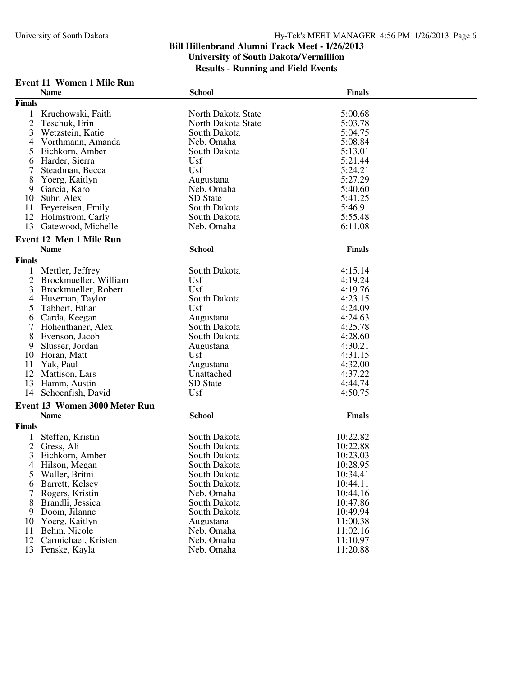#### **Event 11 Women 1 Mile Run**

|                | <b>Name</b>                         | <b>School</b>      | <b>Finals</b>        |
|----------------|-------------------------------------|--------------------|----------------------|
| <b>Finals</b>  |                                     |                    |                      |
| 1              | Kruchowski, Faith                   | North Dakota State | 5:00.68              |
| $\overline{2}$ | Teschuk, Erin                       | North Dakota State | 5:03.78              |
| 3              | Wetzstein, Katie                    | South Dakota       | 5:04.75              |
| 4              | Vorthmann, Amanda                   | Neb. Omaha         | 5:08.84              |
| 5              | Eichkorn, Amber                     | South Dakota       | 5:13.01              |
| 6              | Harder, Sierra                      | Usf                | 5:21.44              |
| 7              | Steadman, Becca                     | Usf                | 5:24.21              |
| 8              | Yoerg, Kaitlyn                      | Augustana          | 5:27.29              |
| 9              | Garcia, Karo                        | Neb. Omaha         | 5:40.60              |
| 10             | Suhr, Alex                          | <b>SD</b> State    | 5:41.25              |
| 11             | Feyereisen, Emily                   | South Dakota       | 5:46.91              |
| 12             | Holmstrom, Carly                    | South Dakota       | 5:55.48              |
| 13             | Gatewood, Michelle                  | Neb. Omaha         | 6:11.08              |
|                |                                     |                    |                      |
|                | <b>Event 12 Men 1 Mile Run</b>      |                    |                      |
|                | <b>Name</b>                         | <b>School</b>      | <b>Finals</b>        |
| <b>Finals</b>  |                                     |                    |                      |
| 1              | Mettler, Jeffrey                    | South Dakota       | 4:15.14              |
| $\overline{2}$ | Brockmueller, William               | Usf                | 4:19.24              |
| 3              | Brockmueller, Robert                | Usf                | 4:19.76              |
| 4              | Huseman, Taylor                     | South Dakota       | 4:23.15              |
| 5              | Tabbert, Ethan                      | Usf                | 4:24.09              |
| 6              | Carda, Keegan                       | Augustana          | 4:24.63              |
| 7              | Hohenthaner, Alex                   | South Dakota       | 4:25.78              |
| 8              | Evenson, Jacob                      | South Dakota       | 4:28.60              |
| 9              | Slusser, Jordan                     | Augustana          | 4:30.21              |
| 10             | Horan, Matt                         | Usf                | 4:31.15              |
| 11             | Yak, Paul                           | Augustana          | 4:32.00              |
| 12             | Mattison, Lars                      | Unattached         | 4:37.22              |
| 13             | Hamm, Austin                        | SD State           | 4:44.74              |
| 14             | Schoenfish, David                   | Usf                | 4:50.75              |
|                | Event 13 Women 3000 Meter Run       |                    |                      |
|                | <b>Name</b>                         | <b>School</b>      | <b>Finals</b>        |
| <b>Finals</b>  |                                     |                    |                      |
|                | Steffen, Kristin                    | South Dakota       | 10:22.82             |
| 2              | Gress, Ali                          | South Dakota       | 10:22.88             |
| 3              | Eichkorn, Amber                     | South Dakota       | 10:23.03             |
| 4              | Hilson, Megan                       | South Dakota       | 10:28.95             |
|                |                                     | South Dakota       |                      |
| C              | Waller, Britni<br>Barrett, Kelsey   | South Dakota       | 10:34.41<br>10:44.11 |
| 6              |                                     | Neb. Omaha         | 10:44.16             |
| 8              | Rogers, Kristin<br>Brandli, Jessica | South Dakota       | 10:47.86             |
| 9              | Doom, Jilanne                       | South Dakota       | 10:49.94             |
|                | Yoerg, Kaitlyn                      | Augustana          | 11:00.38             |
| 10             | Behm, Nicole                        | Neb. Omaha         | 11:02.16             |
| 11<br>12       | Carmichael, Kristen                 | Neb. Omaha         | 11:10.97             |
| 13             | Fenske, Kayla                       |                    | 11:20.88             |
|                |                                     | Neb. Omaha         |                      |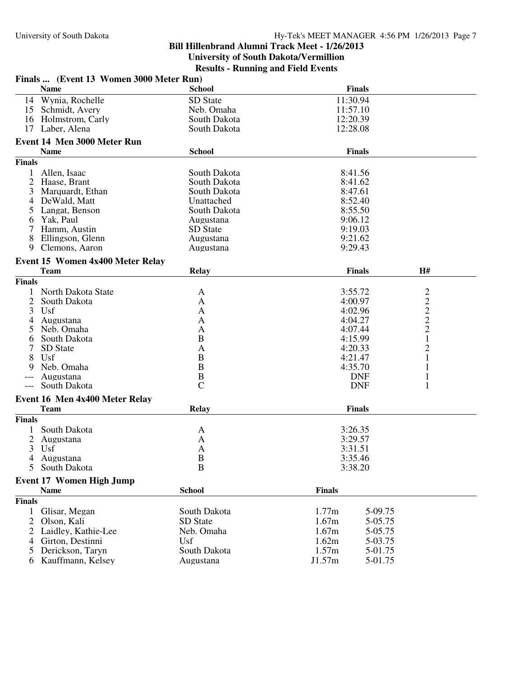|                | Finals  (Event 13 Women 3000 Meter Run) |                |                   |                                |  |  |
|----------------|-----------------------------------------|----------------|-------------------|--------------------------------|--|--|
|                | <b>Name</b>                             | <b>School</b>  | <b>Finals</b>     |                                |  |  |
| 14             | Wynia, Rochelle                         | SD State       | 11:30.94          |                                |  |  |
|                | 15 Schmidt, Avery                       | Neb. Omaha     | 11:57.10          |                                |  |  |
| 16             | Holmstrom, Carly                        | South Dakota   | 12:20.39          |                                |  |  |
| 17             | Laber, Alena                            | South Dakota   | 12:28.08          |                                |  |  |
|                | Event 14 Men 3000 Meter Run             |                |                   |                                |  |  |
|                | <b>Name</b>                             | <b>School</b>  | <b>Finals</b>     |                                |  |  |
| <b>Finals</b>  |                                         |                |                   |                                |  |  |
| $\mathbf{1}$   | Allen, Isaac                            | South Dakota   | 8:41.56           |                                |  |  |
| 2              | Haase, Brant                            | South Dakota   | 8:41.62           |                                |  |  |
| 3              | Marquardt, Ethan                        | South Dakota   | 8:47.61           |                                |  |  |
| 4              | DeWald, Matt                            | Unattached     | 8:52.40           |                                |  |  |
| 5              | Langat, Benson                          | South Dakota   | 8:55.50           |                                |  |  |
| 6              | Yak, Paul                               | Augustana      | 9:06.12           |                                |  |  |
| 7              | Hamm, Austin                            | SD State       | 9:19.03           |                                |  |  |
| 8              | Ellingson, Glenn                        | Augustana      | 9:21.62           |                                |  |  |
| 9              | Clemons, Aaron                          | Augustana      | 9:29.43           |                                |  |  |
|                | Event 15 Women 4x400 Meter Relay        |                |                   |                                |  |  |
|                | <b>Team</b>                             | <b>Relay</b>   | <b>Finals</b>     | H#                             |  |  |
| <b>Finals</b>  |                                         |                |                   |                                |  |  |
| 1              | North Dakota State                      | A              | 3:55.72           |                                |  |  |
| 2              | South Dakota                            | A              | 4:00.97           |                                |  |  |
| 3              | Usf                                     | A              | 4:02.96           | $\frac{2}{2}$<br>$\frac{2}{2}$ |  |  |
| 4              | Augustana                               | A              | 4:04.27           |                                |  |  |
| 5              | Neb. Omaha                              | A              | 4:07.44           |                                |  |  |
| 6              | South Dakota                            | B              | 4:15.99           | $\mathbf{1}$                   |  |  |
|                | SD State                                | A              | 4:20.33           | 2                              |  |  |
| 8              | Usf                                     | B              | 4:21.47           | 1                              |  |  |
|                | Neb. Omaha                              | B              | 4:35.70           | 1                              |  |  |
|                | Augustana                               | $\, {\bf B}$   | <b>DNF</b>        | 1                              |  |  |
|                | South Dakota                            | $\overline{C}$ | <b>DNF</b>        | 1                              |  |  |
|                | Event 16 Men 4x400 Meter Relay          |                |                   |                                |  |  |
|                | <b>Team</b>                             | <b>Relay</b>   | <b>Finals</b>     |                                |  |  |
| <b>Finals</b>  |                                         |                |                   |                                |  |  |
|                | South Dakota                            | A              | 3:26.35           |                                |  |  |
| $\overline{2}$ | Augustana                               | A              | 3:29.57           |                                |  |  |
| 3              | Usf                                     | A              | 3:31.51           |                                |  |  |
| 4              | Augustana                               | B              | 3:35.46           |                                |  |  |
| 5              | South Dakota                            | $\mathbf B$    | 3:38.20           |                                |  |  |
|                | <b>Event 17 Women High Jump</b>         |                |                   |                                |  |  |
|                | <b>Name</b>                             | <b>School</b>  | <b>Finals</b>     |                                |  |  |
| <b>Finals</b>  |                                         |                |                   |                                |  |  |
| $\mathbf{1}$   | Glisar, Megan                           | South Dakota   | 1.77m<br>5-09.75  |                                |  |  |
| $\overline{2}$ | Olson, Kali                             | SD State       | 1.67m<br>5-05.75  |                                |  |  |
| 2              | Laidley, Kathie-Lee                     | Neb. Omaha     | 1.67m<br>5-05.75  |                                |  |  |
| 4              | Girton, Destinni                        | Usf            | 1.62m<br>5-03.75  |                                |  |  |
|                | Derickson, Taryn                        | South Dakota   | 1.57m<br>5-01.75  |                                |  |  |
| 6              | Kauffmann, Kelsey                       | Augustana      | J1.57m<br>5-01.75 |                                |  |  |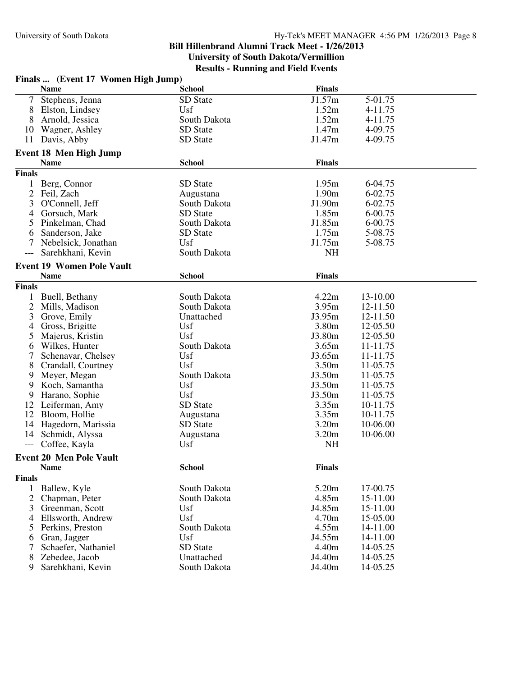| <b>Finals</b><br><b>Name</b><br><b>School</b><br>J1.57m<br>$\tau$<br>Stephens, Jenna<br>SD State<br>5-01.75<br>Usf<br>1.52m<br>8<br>Elston, Lindsey<br>4-11.75<br>1.52m<br>8<br>Arnold, Jessica<br>South Dakota<br>4-11.75<br>1.47m<br>SD State<br>Wagner, Ashley<br>4-09.75<br>10<br>Davis, Abby<br>SD State<br>J1.47m<br>4-09.75<br>11<br><b>Event 18 Men High Jump</b><br><b>Finals</b><br><b>Name</b><br><b>School</b><br><b>Finals</b><br>SD State<br>1.95m<br>Berg, Connor<br>6-04.75<br>1<br>2<br>1.90m<br>Feil, Zach<br>Augustana<br>6-02.75<br>O'Connell, Jeff<br>J1.90m<br>6-02.75<br>3<br>South Dakota<br>Gorsuch, Mark<br>SD State<br>1.85m<br>6-00.75<br>4<br>J1.85m<br>Pinkelman, Chad<br>South Dakota<br>6-00.75<br>5<br>1.75m<br>SD State<br>5-08.75<br>6<br>Sanderson, Jake<br>J1.75m<br>Nebelsick, Jonathan<br>Usf<br>5-08.75<br>NH<br>Sarehkhani, Kevin<br>South Dakota<br><b>Event 19 Women Pole Vault</b><br><b>Name</b><br><b>School</b><br><b>Finals</b><br><b>Finals</b><br>4.22m<br>Buell, Bethany<br>South Dakota<br>13-10.00<br>1<br>2<br>South Dakota<br>3.95m<br>Mills, Madison<br>12-11.50<br>J3.95m<br>3<br>Grove, Emily<br>Unattached<br>12-11.50<br>Gross, Brigitte<br>Usf<br>3.80m<br>12-05.50<br>4<br>Usf<br>Majerus, Kristin<br>J3.80m<br>5<br>12-05.50<br>South Dakota<br>3.65m<br>Wilkes, Hunter<br>11-11.75<br>6<br>Usf<br>J3.65m<br>Schenavar, Chelsey<br>11-11.75<br>7<br>8<br>Usf<br>3.50 <sub>m</sub><br>11-05.75<br>Crandall, Courtney<br>J3.50m<br>11-05.75<br>Meyer, Megan<br>South Dakota<br>9.<br>Koch, Samantha<br>Usf<br>J3.50m<br>11-05.75<br>9<br>Usf<br>J3.50m<br>11-05.75<br>9<br>Harano, Sophie<br>Leiferman, Amy<br>SD State<br>3.35m<br>12<br>10-11.75<br>Bloom, Hollie<br>3.35m<br>12<br>10-11.75<br>Augustana<br>Hagedorn, Marissia<br>3.20 <sub>m</sub><br>10-06.00<br>SD State<br>14<br>3.20m<br>Schmidt, Alyssa<br>10-06.00<br>14<br>Augustana<br>Coffee, Kayla<br>NH<br>Usf<br>$\qquad \qquad - -$<br><b>Event 20 Men Pole Vault</b><br><b>Finals</b><br><b>School</b><br><b>Name</b><br><b>Finals</b><br>South Dakota<br>5.20m<br>17-00.75<br>Ballew, Kyle<br>1<br>2<br>4.85m<br>15-11.00<br>Chapman, Peter<br>South Dakota<br>3<br>Greenman, Scott<br>Usf<br>J4.85m<br>15-11.00<br>4 Ellsworth, Andrew<br>Usf<br>4.70m<br>15-05.00<br>4.55m<br>Perkins, Preston<br>South Dakota<br>14-11.00<br>5<br>Usf<br>J4.55m<br>14-11.00<br>Gran, Jagger<br>6<br>Schaefer, Nathaniel<br>SD State<br>4.40m<br>14-05.25<br>J4.40m<br>8<br>Zebedee, Jacob<br>Unattached<br>14-05.25 |   | Finals  (Event 17 Women High Jump) |              |        |          |  |
|----------------------------------------------------------------------------------------------------------------------------------------------------------------------------------------------------------------------------------------------------------------------------------------------------------------------------------------------------------------------------------------------------------------------------------------------------------------------------------------------------------------------------------------------------------------------------------------------------------------------------------------------------------------------------------------------------------------------------------------------------------------------------------------------------------------------------------------------------------------------------------------------------------------------------------------------------------------------------------------------------------------------------------------------------------------------------------------------------------------------------------------------------------------------------------------------------------------------------------------------------------------------------------------------------------------------------------------------------------------------------------------------------------------------------------------------------------------------------------------------------------------------------------------------------------------------------------------------------------------------------------------------------------------------------------------------------------------------------------------------------------------------------------------------------------------------------------------------------------------------------------------------------------------------------------------------------------------------------------------------------------------------------------------------------------------------------------------------------------------------------------------------------------------------------------------------------------------------------------------------------------------------------------------------------------------------------------------------------------------------------------------------------------------------------------------------------------------------------------------------------------------------------------------|---|------------------------------------|--------------|--------|----------|--|
|                                                                                                                                                                                                                                                                                                                                                                                                                                                                                                                                                                                                                                                                                                                                                                                                                                                                                                                                                                                                                                                                                                                                                                                                                                                                                                                                                                                                                                                                                                                                                                                                                                                                                                                                                                                                                                                                                                                                                                                                                                                                                                                                                                                                                                                                                                                                                                                                                                                                                                                                        |   |                                    |              |        |          |  |
|                                                                                                                                                                                                                                                                                                                                                                                                                                                                                                                                                                                                                                                                                                                                                                                                                                                                                                                                                                                                                                                                                                                                                                                                                                                                                                                                                                                                                                                                                                                                                                                                                                                                                                                                                                                                                                                                                                                                                                                                                                                                                                                                                                                                                                                                                                                                                                                                                                                                                                                                        |   |                                    |              |        |          |  |
|                                                                                                                                                                                                                                                                                                                                                                                                                                                                                                                                                                                                                                                                                                                                                                                                                                                                                                                                                                                                                                                                                                                                                                                                                                                                                                                                                                                                                                                                                                                                                                                                                                                                                                                                                                                                                                                                                                                                                                                                                                                                                                                                                                                                                                                                                                                                                                                                                                                                                                                                        |   |                                    |              |        |          |  |
|                                                                                                                                                                                                                                                                                                                                                                                                                                                                                                                                                                                                                                                                                                                                                                                                                                                                                                                                                                                                                                                                                                                                                                                                                                                                                                                                                                                                                                                                                                                                                                                                                                                                                                                                                                                                                                                                                                                                                                                                                                                                                                                                                                                                                                                                                                                                                                                                                                                                                                                                        |   |                                    |              |        |          |  |
|                                                                                                                                                                                                                                                                                                                                                                                                                                                                                                                                                                                                                                                                                                                                                                                                                                                                                                                                                                                                                                                                                                                                                                                                                                                                                                                                                                                                                                                                                                                                                                                                                                                                                                                                                                                                                                                                                                                                                                                                                                                                                                                                                                                                                                                                                                                                                                                                                                                                                                                                        |   |                                    |              |        |          |  |
|                                                                                                                                                                                                                                                                                                                                                                                                                                                                                                                                                                                                                                                                                                                                                                                                                                                                                                                                                                                                                                                                                                                                                                                                                                                                                                                                                                                                                                                                                                                                                                                                                                                                                                                                                                                                                                                                                                                                                                                                                                                                                                                                                                                                                                                                                                                                                                                                                                                                                                                                        |   |                                    |              |        |          |  |
|                                                                                                                                                                                                                                                                                                                                                                                                                                                                                                                                                                                                                                                                                                                                                                                                                                                                                                                                                                                                                                                                                                                                                                                                                                                                                                                                                                                                                                                                                                                                                                                                                                                                                                                                                                                                                                                                                                                                                                                                                                                                                                                                                                                                                                                                                                                                                                                                                                                                                                                                        |   |                                    |              |        |          |  |
|                                                                                                                                                                                                                                                                                                                                                                                                                                                                                                                                                                                                                                                                                                                                                                                                                                                                                                                                                                                                                                                                                                                                                                                                                                                                                                                                                                                                                                                                                                                                                                                                                                                                                                                                                                                                                                                                                                                                                                                                                                                                                                                                                                                                                                                                                                                                                                                                                                                                                                                                        |   |                                    |              |        |          |  |
|                                                                                                                                                                                                                                                                                                                                                                                                                                                                                                                                                                                                                                                                                                                                                                                                                                                                                                                                                                                                                                                                                                                                                                                                                                                                                                                                                                                                                                                                                                                                                                                                                                                                                                                                                                                                                                                                                                                                                                                                                                                                                                                                                                                                                                                                                                                                                                                                                                                                                                                                        |   |                                    |              |        |          |  |
|                                                                                                                                                                                                                                                                                                                                                                                                                                                                                                                                                                                                                                                                                                                                                                                                                                                                                                                                                                                                                                                                                                                                                                                                                                                                                                                                                                                                                                                                                                                                                                                                                                                                                                                                                                                                                                                                                                                                                                                                                                                                                                                                                                                                                                                                                                                                                                                                                                                                                                                                        |   |                                    |              |        |          |  |
|                                                                                                                                                                                                                                                                                                                                                                                                                                                                                                                                                                                                                                                                                                                                                                                                                                                                                                                                                                                                                                                                                                                                                                                                                                                                                                                                                                                                                                                                                                                                                                                                                                                                                                                                                                                                                                                                                                                                                                                                                                                                                                                                                                                                                                                                                                                                                                                                                                                                                                                                        |   |                                    |              |        |          |  |
|                                                                                                                                                                                                                                                                                                                                                                                                                                                                                                                                                                                                                                                                                                                                                                                                                                                                                                                                                                                                                                                                                                                                                                                                                                                                                                                                                                                                                                                                                                                                                                                                                                                                                                                                                                                                                                                                                                                                                                                                                                                                                                                                                                                                                                                                                                                                                                                                                                                                                                                                        |   |                                    |              |        |          |  |
|                                                                                                                                                                                                                                                                                                                                                                                                                                                                                                                                                                                                                                                                                                                                                                                                                                                                                                                                                                                                                                                                                                                                                                                                                                                                                                                                                                                                                                                                                                                                                                                                                                                                                                                                                                                                                                                                                                                                                                                                                                                                                                                                                                                                                                                                                                                                                                                                                                                                                                                                        |   |                                    |              |        |          |  |
|                                                                                                                                                                                                                                                                                                                                                                                                                                                                                                                                                                                                                                                                                                                                                                                                                                                                                                                                                                                                                                                                                                                                                                                                                                                                                                                                                                                                                                                                                                                                                                                                                                                                                                                                                                                                                                                                                                                                                                                                                                                                                                                                                                                                                                                                                                                                                                                                                                                                                                                                        |   |                                    |              |        |          |  |
|                                                                                                                                                                                                                                                                                                                                                                                                                                                                                                                                                                                                                                                                                                                                                                                                                                                                                                                                                                                                                                                                                                                                                                                                                                                                                                                                                                                                                                                                                                                                                                                                                                                                                                                                                                                                                                                                                                                                                                                                                                                                                                                                                                                                                                                                                                                                                                                                                                                                                                                                        |   |                                    |              |        |          |  |
|                                                                                                                                                                                                                                                                                                                                                                                                                                                                                                                                                                                                                                                                                                                                                                                                                                                                                                                                                                                                                                                                                                                                                                                                                                                                                                                                                                                                                                                                                                                                                                                                                                                                                                                                                                                                                                                                                                                                                                                                                                                                                                                                                                                                                                                                                                                                                                                                                                                                                                                                        |   |                                    |              |        |          |  |
|                                                                                                                                                                                                                                                                                                                                                                                                                                                                                                                                                                                                                                                                                                                                                                                                                                                                                                                                                                                                                                                                                                                                                                                                                                                                                                                                                                                                                                                                                                                                                                                                                                                                                                                                                                                                                                                                                                                                                                                                                                                                                                                                                                                                                                                                                                                                                                                                                                                                                                                                        |   |                                    |              |        |          |  |
|                                                                                                                                                                                                                                                                                                                                                                                                                                                                                                                                                                                                                                                                                                                                                                                                                                                                                                                                                                                                                                                                                                                                                                                                                                                                                                                                                                                                                                                                                                                                                                                                                                                                                                                                                                                                                                                                                                                                                                                                                                                                                                                                                                                                                                                                                                                                                                                                                                                                                                                                        |   |                                    |              |        |          |  |
|                                                                                                                                                                                                                                                                                                                                                                                                                                                                                                                                                                                                                                                                                                                                                                                                                                                                                                                                                                                                                                                                                                                                                                                                                                                                                                                                                                                                                                                                                                                                                                                                                                                                                                                                                                                                                                                                                                                                                                                                                                                                                                                                                                                                                                                                                                                                                                                                                                                                                                                                        |   |                                    |              |        |          |  |
|                                                                                                                                                                                                                                                                                                                                                                                                                                                                                                                                                                                                                                                                                                                                                                                                                                                                                                                                                                                                                                                                                                                                                                                                                                                                                                                                                                                                                                                                                                                                                                                                                                                                                                                                                                                                                                                                                                                                                                                                                                                                                                                                                                                                                                                                                                                                                                                                                                                                                                                                        |   |                                    |              |        |          |  |
|                                                                                                                                                                                                                                                                                                                                                                                                                                                                                                                                                                                                                                                                                                                                                                                                                                                                                                                                                                                                                                                                                                                                                                                                                                                                                                                                                                                                                                                                                                                                                                                                                                                                                                                                                                                                                                                                                                                                                                                                                                                                                                                                                                                                                                                                                                                                                                                                                                                                                                                                        |   |                                    |              |        |          |  |
|                                                                                                                                                                                                                                                                                                                                                                                                                                                                                                                                                                                                                                                                                                                                                                                                                                                                                                                                                                                                                                                                                                                                                                                                                                                                                                                                                                                                                                                                                                                                                                                                                                                                                                                                                                                                                                                                                                                                                                                                                                                                                                                                                                                                                                                                                                                                                                                                                                                                                                                                        |   |                                    |              |        |          |  |
|                                                                                                                                                                                                                                                                                                                                                                                                                                                                                                                                                                                                                                                                                                                                                                                                                                                                                                                                                                                                                                                                                                                                                                                                                                                                                                                                                                                                                                                                                                                                                                                                                                                                                                                                                                                                                                                                                                                                                                                                                                                                                                                                                                                                                                                                                                                                                                                                                                                                                                                                        |   |                                    |              |        |          |  |
|                                                                                                                                                                                                                                                                                                                                                                                                                                                                                                                                                                                                                                                                                                                                                                                                                                                                                                                                                                                                                                                                                                                                                                                                                                                                                                                                                                                                                                                                                                                                                                                                                                                                                                                                                                                                                                                                                                                                                                                                                                                                                                                                                                                                                                                                                                                                                                                                                                                                                                                                        |   |                                    |              |        |          |  |
|                                                                                                                                                                                                                                                                                                                                                                                                                                                                                                                                                                                                                                                                                                                                                                                                                                                                                                                                                                                                                                                                                                                                                                                                                                                                                                                                                                                                                                                                                                                                                                                                                                                                                                                                                                                                                                                                                                                                                                                                                                                                                                                                                                                                                                                                                                                                                                                                                                                                                                                                        |   |                                    |              |        |          |  |
|                                                                                                                                                                                                                                                                                                                                                                                                                                                                                                                                                                                                                                                                                                                                                                                                                                                                                                                                                                                                                                                                                                                                                                                                                                                                                                                                                                                                                                                                                                                                                                                                                                                                                                                                                                                                                                                                                                                                                                                                                                                                                                                                                                                                                                                                                                                                                                                                                                                                                                                                        |   |                                    |              |        |          |  |
|                                                                                                                                                                                                                                                                                                                                                                                                                                                                                                                                                                                                                                                                                                                                                                                                                                                                                                                                                                                                                                                                                                                                                                                                                                                                                                                                                                                                                                                                                                                                                                                                                                                                                                                                                                                                                                                                                                                                                                                                                                                                                                                                                                                                                                                                                                                                                                                                                                                                                                                                        |   |                                    |              |        |          |  |
|                                                                                                                                                                                                                                                                                                                                                                                                                                                                                                                                                                                                                                                                                                                                                                                                                                                                                                                                                                                                                                                                                                                                                                                                                                                                                                                                                                                                                                                                                                                                                                                                                                                                                                                                                                                                                                                                                                                                                                                                                                                                                                                                                                                                                                                                                                                                                                                                                                                                                                                                        |   |                                    |              |        |          |  |
|                                                                                                                                                                                                                                                                                                                                                                                                                                                                                                                                                                                                                                                                                                                                                                                                                                                                                                                                                                                                                                                                                                                                                                                                                                                                                                                                                                                                                                                                                                                                                                                                                                                                                                                                                                                                                                                                                                                                                                                                                                                                                                                                                                                                                                                                                                                                                                                                                                                                                                                                        |   |                                    |              |        |          |  |
|                                                                                                                                                                                                                                                                                                                                                                                                                                                                                                                                                                                                                                                                                                                                                                                                                                                                                                                                                                                                                                                                                                                                                                                                                                                                                                                                                                                                                                                                                                                                                                                                                                                                                                                                                                                                                                                                                                                                                                                                                                                                                                                                                                                                                                                                                                                                                                                                                                                                                                                                        |   |                                    |              |        |          |  |
|                                                                                                                                                                                                                                                                                                                                                                                                                                                                                                                                                                                                                                                                                                                                                                                                                                                                                                                                                                                                                                                                                                                                                                                                                                                                                                                                                                                                                                                                                                                                                                                                                                                                                                                                                                                                                                                                                                                                                                                                                                                                                                                                                                                                                                                                                                                                                                                                                                                                                                                                        |   |                                    |              |        |          |  |
|                                                                                                                                                                                                                                                                                                                                                                                                                                                                                                                                                                                                                                                                                                                                                                                                                                                                                                                                                                                                                                                                                                                                                                                                                                                                                                                                                                                                                                                                                                                                                                                                                                                                                                                                                                                                                                                                                                                                                                                                                                                                                                                                                                                                                                                                                                                                                                                                                                                                                                                                        |   |                                    |              |        |          |  |
|                                                                                                                                                                                                                                                                                                                                                                                                                                                                                                                                                                                                                                                                                                                                                                                                                                                                                                                                                                                                                                                                                                                                                                                                                                                                                                                                                                                                                                                                                                                                                                                                                                                                                                                                                                                                                                                                                                                                                                                                                                                                                                                                                                                                                                                                                                                                                                                                                                                                                                                                        |   |                                    |              |        |          |  |
|                                                                                                                                                                                                                                                                                                                                                                                                                                                                                                                                                                                                                                                                                                                                                                                                                                                                                                                                                                                                                                                                                                                                                                                                                                                                                                                                                                                                                                                                                                                                                                                                                                                                                                                                                                                                                                                                                                                                                                                                                                                                                                                                                                                                                                                                                                                                                                                                                                                                                                                                        |   |                                    |              |        |          |  |
|                                                                                                                                                                                                                                                                                                                                                                                                                                                                                                                                                                                                                                                                                                                                                                                                                                                                                                                                                                                                                                                                                                                                                                                                                                                                                                                                                                                                                                                                                                                                                                                                                                                                                                                                                                                                                                                                                                                                                                                                                                                                                                                                                                                                                                                                                                                                                                                                                                                                                                                                        |   |                                    |              |        |          |  |
|                                                                                                                                                                                                                                                                                                                                                                                                                                                                                                                                                                                                                                                                                                                                                                                                                                                                                                                                                                                                                                                                                                                                                                                                                                                                                                                                                                                                                                                                                                                                                                                                                                                                                                                                                                                                                                                                                                                                                                                                                                                                                                                                                                                                                                                                                                                                                                                                                                                                                                                                        |   |                                    |              |        |          |  |
|                                                                                                                                                                                                                                                                                                                                                                                                                                                                                                                                                                                                                                                                                                                                                                                                                                                                                                                                                                                                                                                                                                                                                                                                                                                                                                                                                                                                                                                                                                                                                                                                                                                                                                                                                                                                                                                                                                                                                                                                                                                                                                                                                                                                                                                                                                                                                                                                                                                                                                                                        |   |                                    |              |        |          |  |
|                                                                                                                                                                                                                                                                                                                                                                                                                                                                                                                                                                                                                                                                                                                                                                                                                                                                                                                                                                                                                                                                                                                                                                                                                                                                                                                                                                                                                                                                                                                                                                                                                                                                                                                                                                                                                                                                                                                                                                                                                                                                                                                                                                                                                                                                                                                                                                                                                                                                                                                                        |   |                                    |              |        |          |  |
|                                                                                                                                                                                                                                                                                                                                                                                                                                                                                                                                                                                                                                                                                                                                                                                                                                                                                                                                                                                                                                                                                                                                                                                                                                                                                                                                                                                                                                                                                                                                                                                                                                                                                                                                                                                                                                                                                                                                                                                                                                                                                                                                                                                                                                                                                                                                                                                                                                                                                                                                        |   |                                    |              |        |          |  |
|                                                                                                                                                                                                                                                                                                                                                                                                                                                                                                                                                                                                                                                                                                                                                                                                                                                                                                                                                                                                                                                                                                                                                                                                                                                                                                                                                                                                                                                                                                                                                                                                                                                                                                                                                                                                                                                                                                                                                                                                                                                                                                                                                                                                                                                                                                                                                                                                                                                                                                                                        |   |                                    |              |        |          |  |
|                                                                                                                                                                                                                                                                                                                                                                                                                                                                                                                                                                                                                                                                                                                                                                                                                                                                                                                                                                                                                                                                                                                                                                                                                                                                                                                                                                                                                                                                                                                                                                                                                                                                                                                                                                                                                                                                                                                                                                                                                                                                                                                                                                                                                                                                                                                                                                                                                                                                                                                                        |   |                                    |              |        |          |  |
|                                                                                                                                                                                                                                                                                                                                                                                                                                                                                                                                                                                                                                                                                                                                                                                                                                                                                                                                                                                                                                                                                                                                                                                                                                                                                                                                                                                                                                                                                                                                                                                                                                                                                                                                                                                                                                                                                                                                                                                                                                                                                                                                                                                                                                                                                                                                                                                                                                                                                                                                        |   |                                    |              |        |          |  |
|                                                                                                                                                                                                                                                                                                                                                                                                                                                                                                                                                                                                                                                                                                                                                                                                                                                                                                                                                                                                                                                                                                                                                                                                                                                                                                                                                                                                                                                                                                                                                                                                                                                                                                                                                                                                                                                                                                                                                                                                                                                                                                                                                                                                                                                                                                                                                                                                                                                                                                                                        |   |                                    |              |        |          |  |
|                                                                                                                                                                                                                                                                                                                                                                                                                                                                                                                                                                                                                                                                                                                                                                                                                                                                                                                                                                                                                                                                                                                                                                                                                                                                                                                                                                                                                                                                                                                                                                                                                                                                                                                                                                                                                                                                                                                                                                                                                                                                                                                                                                                                                                                                                                                                                                                                                                                                                                                                        |   |                                    |              |        |          |  |
|                                                                                                                                                                                                                                                                                                                                                                                                                                                                                                                                                                                                                                                                                                                                                                                                                                                                                                                                                                                                                                                                                                                                                                                                                                                                                                                                                                                                                                                                                                                                                                                                                                                                                                                                                                                                                                                                                                                                                                                                                                                                                                                                                                                                                                                                                                                                                                                                                                                                                                                                        |   |                                    |              |        |          |  |
|                                                                                                                                                                                                                                                                                                                                                                                                                                                                                                                                                                                                                                                                                                                                                                                                                                                                                                                                                                                                                                                                                                                                                                                                                                                                                                                                                                                                                                                                                                                                                                                                                                                                                                                                                                                                                                                                                                                                                                                                                                                                                                                                                                                                                                                                                                                                                                                                                                                                                                                                        |   |                                    |              |        |          |  |
|                                                                                                                                                                                                                                                                                                                                                                                                                                                                                                                                                                                                                                                                                                                                                                                                                                                                                                                                                                                                                                                                                                                                                                                                                                                                                                                                                                                                                                                                                                                                                                                                                                                                                                                                                                                                                                                                                                                                                                                                                                                                                                                                                                                                                                                                                                                                                                                                                                                                                                                                        |   |                                    |              |        |          |  |
|                                                                                                                                                                                                                                                                                                                                                                                                                                                                                                                                                                                                                                                                                                                                                                                                                                                                                                                                                                                                                                                                                                                                                                                                                                                                                                                                                                                                                                                                                                                                                                                                                                                                                                                                                                                                                                                                                                                                                                                                                                                                                                                                                                                                                                                                                                                                                                                                                                                                                                                                        |   |                                    |              |        |          |  |
|                                                                                                                                                                                                                                                                                                                                                                                                                                                                                                                                                                                                                                                                                                                                                                                                                                                                                                                                                                                                                                                                                                                                                                                                                                                                                                                                                                                                                                                                                                                                                                                                                                                                                                                                                                                                                                                                                                                                                                                                                                                                                                                                                                                                                                                                                                                                                                                                                                                                                                                                        |   |                                    |              |        |          |  |
|                                                                                                                                                                                                                                                                                                                                                                                                                                                                                                                                                                                                                                                                                                                                                                                                                                                                                                                                                                                                                                                                                                                                                                                                                                                                                                                                                                                                                                                                                                                                                                                                                                                                                                                                                                                                                                                                                                                                                                                                                                                                                                                                                                                                                                                                                                                                                                                                                                                                                                                                        | 9 | Sarehkhani, Kevin                  | South Dakota | J4.40m | 14-05.25 |  |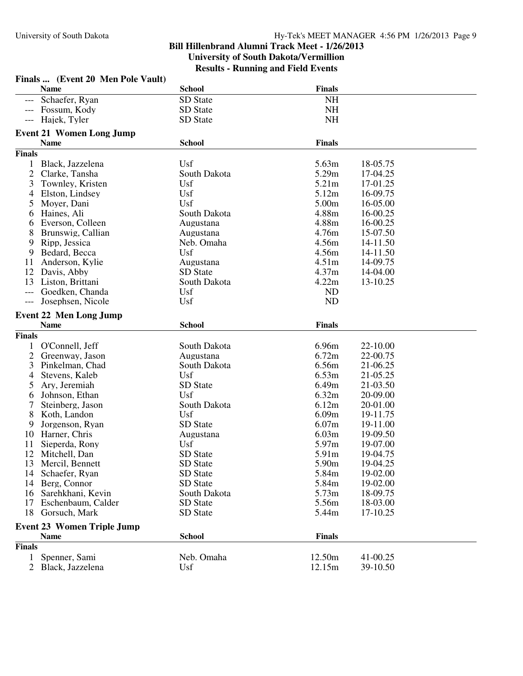|                | Finals  (Event 20 Men Pole Vault) |               |                   |          |  |  |
|----------------|-----------------------------------|---------------|-------------------|----------|--|--|
|                | <b>Name</b>                       | <b>School</b> | <b>Finals</b>     |          |  |  |
|                | Schaefer, Ryan                    | SD State      | <b>NH</b>         |          |  |  |
|                | Fossum, Kody                      | SD State      | NH                |          |  |  |
|                | Hajek, Tyler                      | SD State      | <b>NH</b>         |          |  |  |
|                | <b>Event 21 Women Long Jump</b>   |               |                   |          |  |  |
|                | <b>Name</b>                       | <b>School</b> | <b>Finals</b>     |          |  |  |
| <b>Finals</b>  |                                   |               |                   |          |  |  |
| $\mathbf{1}$   | Black, Jazzelena                  | Usf           | 5.63m             | 18-05.75 |  |  |
| $\mathfrak{2}$ | Clarke, Tansha                    | South Dakota  | 5.29m             | 17-04.25 |  |  |
| 3              | Townley, Kristen                  | Usf           | 5.21m             | 17-01.25 |  |  |
| 4              | Elston, Lindsey                   | Usf           | 5.12m             | 16-09.75 |  |  |
| 5              | Moyer, Dani                       | Usf           | 5.00m             | 16-05.00 |  |  |
| 6              | Haines, Ali                       | South Dakota  | 4.88m             | 16-00.25 |  |  |
| 6              | Everson, Colleen                  | Augustana     | 4.88m             | 16-00.25 |  |  |
| 8              | Brunswig, Callian                 | Augustana     | 4.76m             | 15-07.50 |  |  |
| 9              | Ripp, Jessica                     | Neb. Omaha    | 4.56m             | 14-11.50 |  |  |
| 9              | Bedard, Becca                     | Usf           | 4.56m             | 14-11.50 |  |  |
| 11             | Anderson, Kylie                   | Augustana     | 4.51 <sub>m</sub> | 14-09.75 |  |  |
| 12             | Davis, Abby                       | SD State      | 4.37m             | 14-04.00 |  |  |
| 13             | Liston, Brittani                  | South Dakota  | 4.22m             | 13-10.25 |  |  |
| ---            | Goedken, Chanda                   | Usf           | <b>ND</b>         |          |  |  |
| $---$          | Josephsen, Nicole                 | Usf           | <b>ND</b>         |          |  |  |
|                |                                   |               |                   |          |  |  |
|                | <b>Event 22 Men Long Jump</b>     |               |                   |          |  |  |
|                | <b>Name</b>                       | <b>School</b> | <b>Finals</b>     |          |  |  |
| <b>Finals</b>  |                                   |               |                   |          |  |  |
| 1              | O'Connell, Jeff                   | South Dakota  | 6.96m             | 22-10.00 |  |  |
| $\overline{2}$ | Greenway, Jason                   | Augustana     | 6.72m             | 22-00.75 |  |  |
| 3              | Pinkelman, Chad                   | South Dakota  | 6.56m             | 21-06.25 |  |  |
| 4              | Stevens, Kaleb                    | Usf           | 6.53m             | 21-05.25 |  |  |
| 5              | Ary, Jeremiah                     | SD State      | 6.49m             | 21-03.50 |  |  |
| 6              | Johnson, Ethan                    | <b>Usf</b>    | 6.32m             | 20-09.00 |  |  |
| 7              | Steinberg, Jason                  | South Dakota  | 6.12m             | 20-01.00 |  |  |
| 8              | Koth, Landon                      | Usf           | 6.09m             | 19-11.75 |  |  |
| 9              | Jorgenson, Ryan                   | SD State      | 6.07m             | 19-11.00 |  |  |
| 10             | Harner, Chris                     | Augustana     | 6.03m             | 19-09.50 |  |  |
| 11             | Sieperda, Rony                    | Usf           | 5.97m             | 19-07.00 |  |  |
| 12             | Mitchell, Dan                     | SD State      | 5.91m             | 19-04.75 |  |  |
| 13             | Mercil, Bennett                   | SD State      | 5.90m             | 19-04.25 |  |  |
| 14             | Schaefer, Ryan                    | SD State      | 5.84m             | 19-02.00 |  |  |
| 14             | Berg, Connor                      | SD State      | 5.84m             | 19-02.00 |  |  |
| 16             | Sarehkhani, Kevin                 | South Dakota  | 5.73m             | 18-09.75 |  |  |
| 17             | Eschenbaum, Calder                | SD State      | 5.56m             | 18-03.00 |  |  |
| 18             | Gorsuch, Mark                     | SD State      | 5.44m             | 17-10.25 |  |  |
|                | <b>Event 23 Women Triple Jump</b> |               |                   |          |  |  |
|                | <b>Name</b>                       | <b>School</b> | <b>Finals</b>     |          |  |  |
| <b>Finals</b>  |                                   |               |                   |          |  |  |
| $\mathbf{1}$   | Spenner, Sami                     | Neb. Omaha    | 12.50m            | 41-00.25 |  |  |
| $\overline{2}$ | Black, Jazzelena                  | Usf           | 12.15m            | 39-10.50 |  |  |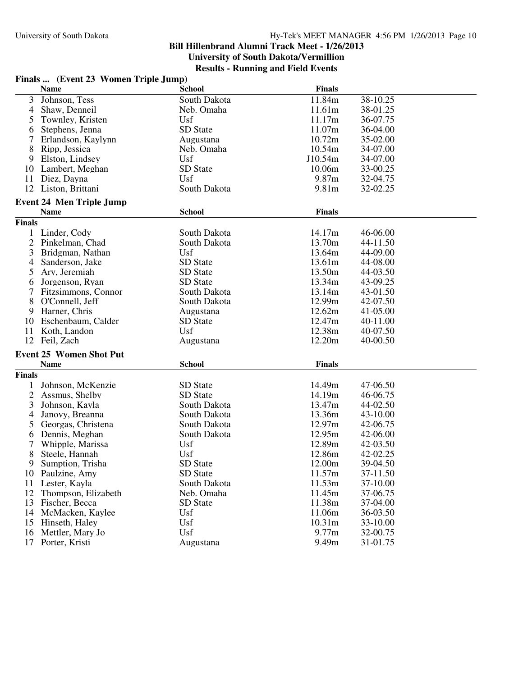## **Bill Hillenbrand Alumni Track Meet - 1/26/2013 University of South Dakota/Vermillion**

|  |                                      | <b>Results - Running and Field Events</b> |  |
|--|--------------------------------------|-------------------------------------------|--|
|  | Finals  (Event 23 Women Triple Jump) |                                           |  |

|                | <b>Name</b>                     | <b>School</b>   | <b>Finals</b>      |          |
|----------------|---------------------------------|-----------------|--------------------|----------|
| 3              | Johnson, Tess                   | South Dakota    | 11.84m             | 38-10.25 |
| $\overline{4}$ | Shaw, Denneil                   | Neb. Omaha      | 11.61m             | 38-01.25 |
| 5              | Townley, Kristen                | Usf             | 11.17m             | 36-07.75 |
| 6              | Stephens, Jenna                 | SD State        | 11.07m             | 36-04.00 |
| 7              | Erlandson, Kaylynn              | Augustana       | 10.72m             | 35-02.00 |
| 8              | Ripp, Jessica                   | Neb. Omaha      | 10.54m             | 34-07.00 |
| 9              | Elston, Lindsey                 | Usf             | J10.54m            | 34-07.00 |
| 10             | Lambert, Meghan                 | SD State        | 10.06m             | 33-00.25 |
| 11             | Diez, Dayna                     | Usf             | 9.87m              | 32-04.75 |
| 12             | Liston, Brittani                | South Dakota    | 9.81m              | 32-02.25 |
|                |                                 |                 |                    |          |
|                | <b>Event 24 Men Triple Jump</b> | <b>School</b>   | <b>Finals</b>      |          |
|                | <b>Name</b>                     |                 |                    |          |
| <b>Finals</b>  |                                 |                 |                    |          |
|                | 1 Linder, Cody                  | South Dakota    | 14.17m             | 46-06.00 |
| $\overline{2}$ | Pinkelman, Chad                 | South Dakota    | 13.70m             | 44-11.50 |
| 3              | Bridgman, Nathan                | Usf             | 13.64m             | 44-09.00 |
| $\overline{4}$ | Sanderson, Jake                 | SD State        | 13.61m             | 44-08.00 |
| 5              | Ary, Jeremiah                   | SD State        | 13.50m             | 44-03.50 |
| 6              | Jorgenson, Ryan                 | <b>SD</b> State | 13.34m             | 43-09.25 |
|                | Fitzsimmons, Connor             | South Dakota    | 13.14m             | 43-01.50 |
| 8              | O'Connell, Jeff                 | South Dakota    | 12.99m             | 42-07.50 |
| 9              | Harner, Chris                   | Augustana       | 12.62m             | 41-05.00 |
| 10             | Eschenbaum, Calder              | SD State        | 12.47m             | 40-11.00 |
| 11             | Koth, Landon                    | Usf             | 12.38m             | 40-07.50 |
| 12             | Feil, Zach                      | Augustana       | 12.20m             | 40-00.50 |
|                | <b>Event 25 Women Shot Put</b>  |                 |                    |          |
|                | <b>Name</b>                     | <b>School</b>   | <b>Finals</b>      |          |
| <b>Finals</b>  |                                 |                 |                    |          |
| 1              | Johnson, McKenzie               | SD State        | 14.49m             | 47-06.50 |
| $\overline{2}$ | Assmus, Shelby                  | SD State        | 14.19m             | 46-06.75 |
| 3              | Johnson, Kayla                  | South Dakota    | 13.47m             | 44-02.50 |
| 4              | Janovy, Breanna                 | South Dakota    | 13.36m             | 43-10.00 |
| 5              | Georgas, Christena              | South Dakota    | 12.97m             | 42-06.75 |
| 6              | Dennis, Meghan                  | South Dakota    | 12.95m             | 42-06.00 |
| 7              | Whipple, Marissa                | Usf             | 12.89m             | 42-03.50 |
| 8              | Steele, Hannah                  | Usf             | 12.86m             | 42-02.25 |
| 9              | Sumption, Trisha                | <b>SD</b> State | 12.00m             | 39-04.50 |
|                | 10 Paulzine, Amy                | SD State        | 11.57m             | 37-11.50 |
|                | 11 Lester, Kayla                | South Dakota    | 11.53m             | 37-10.00 |
| 12             | Thompson, Elizabeth             | Neb. Omaha      | 11.45m             | 37-06.75 |
| 13             | Fischer, Becca                  | SD State        | 11.38m             | 37-04.00 |
| 14             | McMacken, Kaylee                | Usf             | 11.06m             | 36-03.50 |
| 15             | Hinseth, Haley                  | Usf             | 10.31 <sub>m</sub> | 33-10.00 |
| 16             | Mettler, Mary Jo                | Usf             | 9.77m              | 32-00.75 |
| 17             | Porter, Kristi                  |                 | 9.49m              | 31-01.75 |
|                |                                 | Augustana       |                    |          |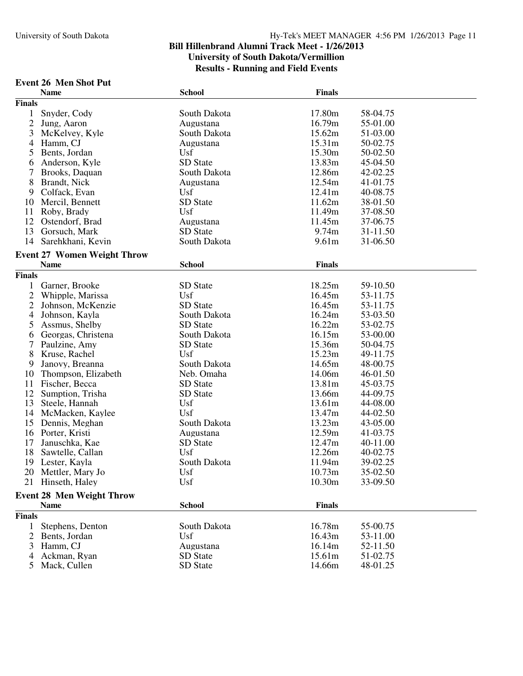# **Event 26 Men Shot Put**

|                | <b>Name</b>                        | <b>School</b> | <b>Finals</b>     |                      |
|----------------|------------------------------------|---------------|-------------------|----------------------|
| <b>Finals</b>  |                                    |               |                   |                      |
| $\mathbf{1}$   | Snyder, Cody                       | South Dakota  | 17.80m            | 58-04.75             |
| $\mathfrak{2}$ | Jung, Aaron                        | Augustana     | 16.79m            | 55-01.00             |
| 3              | McKelvey, Kyle                     | South Dakota  | 15.62m            | 51-03.00             |
| 4              | Hamm, CJ                           | Augustana     | 15.31m            | 50-02.75             |
| 5              | Bents, Jordan                      | Usf           | 15.30m            | 50-02.50             |
| 6              | Anderson, Kyle                     | SD State      | 13.83m            | 45-04.50             |
| 7              | Brooks, Daquan                     | South Dakota  | 12.86m            | 42-02.25             |
| 8              | Brandt, Nick                       | Augustana     | 12.54m            | 41-01.75             |
| 9              | Colfack, Evan                      | Usf           | 12.41m            | 40-08.75             |
| 10             | Mercil, Bennett                    | SD State      | 11.62m            | 38-01.50             |
| 11             | Roby, Brady                        | Usf           | 11.49m            | 37-08.50             |
| 12             | Ostendorf, Brad                    | Augustana     | 11.45m            | 37-06.75             |
| 13             | Gorsuch, Mark                      | SD State      | 9.74m             | 31-11.50             |
| 14             | Sarehkhani, Kevin                  | South Dakota  | 9.61 <sub>m</sub> | 31-06.50             |
|                | <b>Event 27 Women Weight Throw</b> |               |                   |                      |
|                | <b>Name</b>                        | <b>School</b> | <b>Finals</b>     |                      |
| <b>Finals</b>  |                                    |               |                   |                      |
|                | Garner, Brooke                     | SD State      | 18.25m            |                      |
| $\overline{c}$ | Whipple, Marissa                   | Usf           | 16.45m            | 59-10.50<br>53-11.75 |
| $\overline{2}$ | Johnson, McKenzie                  | SD State      | 16.45m            | 53-11.75             |
| 4              | Johnson, Kayla                     | South Dakota  | 16.24m            | 53-03.50             |
| 5              | Assmus, Shelby                     | SD State      | 16.22m            | 53-02.75             |
| 6              | Georgas, Christena                 | South Dakota  | 16.15m            | 53-00.00             |
| 7              | Paulzine, Amy                      | SD State      | 15.36m            | 50-04.75             |
| 8              | Kruse, Rachel                      | Usf           | 15.23m            | 49-11.75             |
| 9              | Janovy, Breanna                    | South Dakota  | 14.65m            | 48-00.75             |
| 10             | Thompson, Elizabeth                | Neb. Omaha    | 14.06m            | 46-01.50             |
| 11             | Fischer, Becca                     | SD State      | 13.81m            | 45-03.75             |
| 12             | Sumption, Trisha                   | SD State      | 13.66m            | 44-09.75             |
| 13             | Steele, Hannah                     | Usf           | 13.61m            | 44-08.00             |
| 14             | McMacken, Kaylee                   | Usf           | 13.47m            | 44-02.50             |
| 15             | Dennis, Meghan                     | South Dakota  | 13.23m            | 43-05.00             |
| 16             | Porter, Kristi                     | Augustana     | 12.59m            | 41-03.75             |
| 17             | Januschka, Kae                     | SD State      | 12.47m            | 40-11.00             |
| 18             | Sawtelle, Callan                   | Usf           | 12.26m            | 40-02.75             |
| 19             | Lester, Kayla                      | South Dakota  | 11.94m            | 39-02.25             |
|                | 20 Mettler, Mary Jo                | Usf           | 10.73m            | 35-02.50             |
|                | 21 Hinseth, Haley                  | Usf           | 10.30m            | 33-09.50             |
|                |                                    |               |                   |                      |
|                | <b>Event 28 Men Weight Throw</b>   |               |                   |                      |
|                | <b>Name</b>                        | <b>School</b> | <b>Finals</b>     |                      |
| <b>Finals</b>  |                                    |               |                   |                      |
| 1              | Stephens, Denton                   | South Dakota  | 16.78m            | 55-00.75             |
| $\overline{2}$ | Bents, Jordan                      | Usf           | 16.43m            | 53-11.00             |
| 3              | Hamm, CJ                           | Augustana     | 16.14m            | 52-11.50             |
| 4              | Ackman, Ryan                       | SD State      | 15.61m            | 51-02.75             |
|                | 5 Mack, Cullen                     | SD State      | 14.66m            | 48-01.25             |